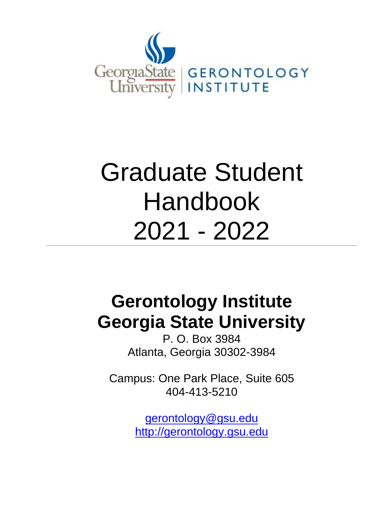

# Graduate Student Handbook 2021 - 2022

# **Gerontology Institute Georgia State University**

P. O. Box 3984 Atlanta, Georgia 30302-3984

Campus: One Park Place, Suite 605 404-413-5210

> gerontology@gsu.edu [http://gerontology.gsu.edu](about:blank)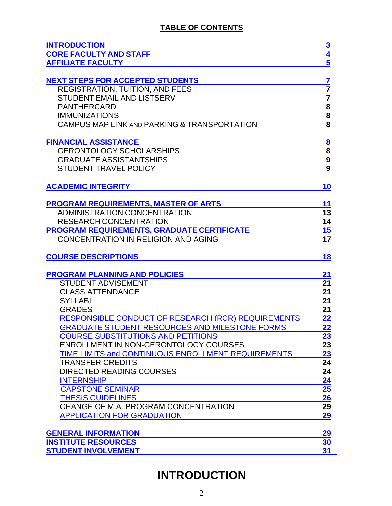# **TABLE OF CONTENTS**

| <b>INTRODUCTION</b>                                                               | $\overline{\mathbf{3}}$                              |
|-----------------------------------------------------------------------------------|------------------------------------------------------|
| <b>CORE FACULTY AND STAFF</b>                                                     |                                                      |
| <b>AFFILIATE FACULTY</b>                                                          | $\frac{4}{5}$                                        |
|                                                                                   |                                                      |
| <b>NEXT STEPS FOR ACCEPTED STUDENTS</b><br><b>REGISTRATION, TUITION, AND FEES</b> | $\overline{\mathbf{Z}}$<br>$\overline{\overline{7}}$ |
| <b>STUDENT EMAIL AND LISTSERV</b>                                                 | $\overline{7}$                                       |
| <b>PANTHERCARD</b>                                                                |                                                      |
|                                                                                   | 8                                                    |
| <b>IMMUNIZATIONS</b>                                                              | 8<br>8                                               |
| CAMPUS MAP LINK AND PARKING & TRANSPORTATION                                      |                                                      |
| <b>FINANCIAL ASSISTANCE</b>                                                       |                                                      |
| <b>GERONTOLOGY SCHOLARSHIPS</b>                                                   | $\frac{8}{8}$                                        |
| <b>GRADUATE ASSISTANTSHIPS</b>                                                    | 9                                                    |
| <b>STUDENT TRAVEL POLICY</b>                                                      | 9                                                    |
| <b>ACADEMIC INTEGRITY</b>                                                         | 10                                                   |
|                                                                                   |                                                      |
| <b>PROGRAM REQUIREMENTS, MASTER OF ARTS</b>                                       | 11                                                   |
| <b>ADMINISTRATION CONCENTRATION</b>                                               | 13                                                   |
| <b>RESEARCH CONCENTRATION</b>                                                     | 14                                                   |
| <b>PROGRAM REQUIREMENTS, GRADUATE CERTIFICATE</b>                                 | 15                                                   |
| <b>CONCENTRATION IN RELIGION AND AGING</b>                                        | 17                                                   |
| <b>COURSE DESCRIPTIONS</b>                                                        | 18                                                   |
| <b>PROGRAM PLANNING AND POLICIES</b>                                              | <u>21</u>                                            |
| <b>STUDENT ADVISEMENT</b>                                                         | 21                                                   |
| <b>CLASS ATTENDANCE</b>                                                           | 21                                                   |
| <b>SYLLABI</b>                                                                    | 21                                                   |
| <b>GRADES</b>                                                                     | 21                                                   |
| <b>RESPONSIBLE CONDUCT OF RESEARCH (RCR) REQUIREMENTS</b>                         | <u>22</u>                                            |
| <b>GRADUATE STUDENT RESOURCES AND MILESTONE FORMS</b>                             | $\overline{22}$                                      |
| <b>COURSE SUBSTITUTIONS AND PETITIONS</b>                                         | $\overline{23}$                                      |
| ENROLLMENT IN NON-GERONTOLOGY COURSES                                             | $\overline{23}$                                      |
| TIME LIMITS and CONTINUOUS ENROLLMENT REQUIREMENTS                                | 23                                                   |
| <b>TRANSFER CREDITS</b>                                                           | 24                                                   |
| <b>DIRECTED READING COURSES</b>                                                   | 24                                                   |
| <b>INTERNSHIP</b>                                                                 | 24                                                   |
| <b>CAPSTONE SEMINAR</b>                                                           | 25                                                   |
| <b>THESIS GUIDELINES</b>                                                          | 26                                                   |
| CHANGE OF M.A. PROGRAM CONCENTRATION                                              | 29                                                   |
| <b>APPLICATION FOR GRADUATION</b>                                                 | <u>29</u>                                            |
|                                                                                   |                                                      |
| <b>GENERAL INFORMATION</b>                                                        | 29                                                   |
| <b>INSTITUTE RESOURCES</b>                                                        | 30                                                   |
| <b>STUDENT INVOLVEMENT</b>                                                        | 31                                                   |

# <span id="page-1-0"></span>**INTRODUCTION**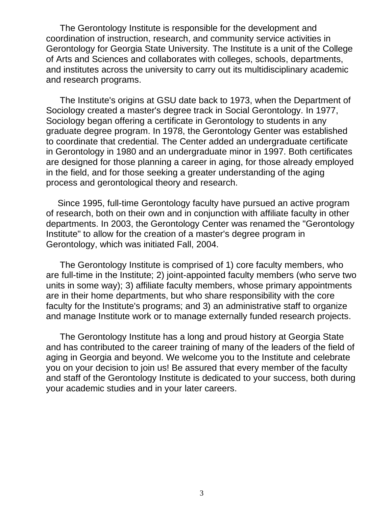The Gerontology Institute is responsible for the development and coordination of instruction, research, and community service activities in Gerontology for Georgia State University. The Institute is a unit of the College of Arts and Sciences and collaborates with colleges, schools, departments, and institutes across the university to carry out its multidisciplinary academic and research programs.

The Institute's origins at GSU date back to 1973, when the Department of Sociology created a master's degree track in Social Gerontology. In 1977, Sociology began offering a certificate in Gerontology to students in any graduate degree program. In 1978, the Gerontology Genter was established to coordinate that credential. The Center added an undergraduate certificate in Gerontology in 1980 and an undergraduate minor in 1997. Both certificates are designed for those planning a career in aging, for those already employed in the field, and for those seeking a greater understanding of the aging process and gerontological theory and research.

Since 1995, full-time Gerontology faculty have pursued an active program of research, both on their own and in conjunction with affiliate faculty in other departments. In 2003, the Gerontology Center was renamed the "Gerontology Institute" to allow for the creation of a master's degree program in Gerontology, which was initiated Fall, 2004.

The Gerontology Institute is comprised of 1) core faculty members, who are full-time in the Institute; 2) joint-appointed faculty members (who serve two units in some way); 3) affiliate faculty members, whose primary appointments are in their home departments, but who share responsibility with the core faculty for the Institute's programs; and 3) an administrative staff to organize and manage Institute work or to manage externally funded research projects.

The Gerontology Institute has a long and proud history at Georgia State and has contributed to the career training of many of the leaders of the field of aging in Georgia and beyond. We welcome you to the Institute and celebrate you on your decision to join us! Be assured that every member of the faculty and staff of the Gerontology Institute is dedicated to your success, both during your academic studies and in your later careers.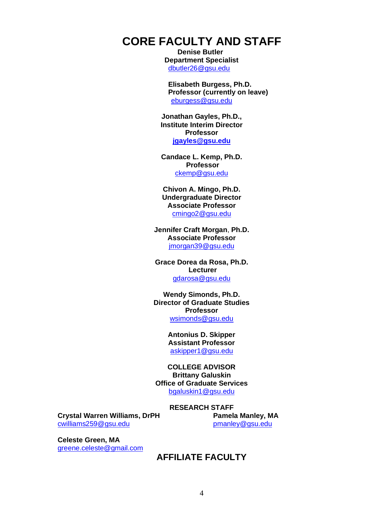# <span id="page-3-0"></span>**CORE FACULTY AND STAFF**

**Denise Butler Department Specialist**  [dbutler26@gsu.edu](mailto:dbutler26@gsu.edu)

**Elisabeth Burgess, Ph.D. Professor (currently on leave)** [eburgess@gsu.edu](about:blank)

**Jonathan Gayles, Ph.D., Institute Interim Director Professor [jgayles@gsu.edu](mailto:jgayles@gsu.edu)**

**Candace L. Kemp, Ph.D. Professor** [ckemp@gsu.edu](about:blank)

**Chivon A. Mingo, Ph.D. Undergraduate Director Associate Professor** [cmingo2@gsu.edu](about:blank)

**Jennifer Craft Morgan**, **Ph.D. Associate Professor** [jmorgan39@gsu.edu](about:blank)

**Grace Dorea da Rosa, Ph.D. Lecturer** [gdarosa@gsu.edu](about:blank)

**Wendy Simonds, Ph.D. Director of Graduate Studies Professor** [wsimonds@gsu.edu](about:blank)

> **Antonius D. Skipper Assistant Professor**  [askipper1@gsu.edu](about:blank)

**COLLEGE ADVISOR Brittany Galuskin Office of Graduate Services** [bgaluskin1@gsu.edu](mailto:bgaluskin1@gsu.edu)

#### **RESEARCH STAFF**

**Crystal Warren Williams, DrPH** [cwilliams259@gsu.edu](about:blank)

**Pamela Manley, MA** [pmanley@gsu.edu](about:blank)

<span id="page-3-1"></span>**Celeste Green, MA** [greene.celeste@gmail.com](about:blank)

#### **AFFILIATE FACULTY**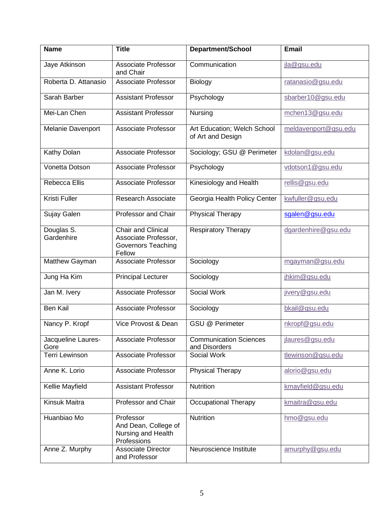| <b>Name</b>                | <b>Title</b>                                                                      | <b>Department/School</b>                         | <b>Email</b>         |
|----------------------------|-----------------------------------------------------------------------------------|--------------------------------------------------|----------------------|
| Jaye Atkinson              | Associate Professor<br>and Chair                                                  | Communication                                    | jla@gsu.edu          |
| Roberta D. Attanasio       | <b>Associate Professor</b>                                                        | <b>Biology</b>                                   | ratanasio@gsu.edu    |
| Sarah Barber               | <b>Assistant Professor</b>                                                        | Psychology                                       | sbarber10@gsu.edu    |
| Mei-Lan Chen               | <b>Assistant Professor</b>                                                        | Nursing                                          | mchen13@gsu.edu      |
| Melanie Davenport          | <b>Associate Professor</b>                                                        | Art Education; Welch School<br>of Art and Design | meldavenport@gsu.edu |
| Kathy Dolan                | <b>Associate Professor</b>                                                        | Sociology; GSU @ Perimeter                       | kdolan@gsu.edu       |
| Vonetta Dotson             | Associate Professor                                                               | Psychology                                       | vdotson1@gsu.edu     |
| <b>Rebecca Ellis</b>       | <b>Associate Professor</b>                                                        | Kinesiology and Health                           | rellis@gsu.edu       |
| <b>Kristi Fuller</b>       | <b>Research Associate</b>                                                         | Georgia Health Policy Center                     | kwfuller@gsu.edu     |
| Sujay Galen                | Professor and Chair                                                               | <b>Physical Therapy</b>                          | sgalen@gsu.edu       |
| Douglas S.<br>Gardenhire   | Chair and Clinical<br>Associate Professor,<br><b>Governors Teaching</b><br>Fellow | <b>Respiratory Therapy</b>                       | dgardenhire@gsu.edu  |
| Matthew Gayman             | Associate Professor                                                               | Sociology                                        | mgayman@gsu.edu      |
| Jung Ha Kim                | <b>Principal Lecturer</b>                                                         | Sociology                                        | jhkim@gsu.edu        |
| Jan M. Ivery               | <b>Associate Professor</b>                                                        | Social Work                                      | jivery@gsu.edu       |
| <b>Ben Kail</b>            | <b>Associate Professor</b>                                                        | Sociology                                        | bkail@gsu.edu        |
| Nancy P. Kropf             | Vice Provost & Dean                                                               | <b>GSU @ Perimeter</b>                           | nkropf@gsu.edu       |
| Jacqueline Laures-<br>Gore | <b>Associate Professor</b>                                                        | <b>Communication Sciences</b><br>and Disorders   | jlaures@gsu.edu      |
| <b>Terri Lewinson</b>      | Associate Professor                                                               | Social Work                                      | tlewinson@gsu.edu    |
| Anne K. Lorio              | Associate Professor                                                               | <b>Physical Therapy</b>                          | alorio@gsu.edu       |
| Kellie Mayfield            | <b>Assistant Professor</b>                                                        | Nutrition                                        | kmayfield@gsu.edu    |
| <b>Kinsuk Maitra</b>       | Professor and Chair                                                               | <b>Occupational Therapy</b>                      | kmaitra@gsu.edu      |
| Huanbiao Mo                | Professor<br>And Dean, College of<br>Nursing and Health<br>Professions            | Nutrition                                        | hmo@gsu.edu          |
| Anne Z. Murphy             | <b>Associate Director</b><br>and Professor                                        | Neuroscience Institute                           | amurphy@gsu.edu      |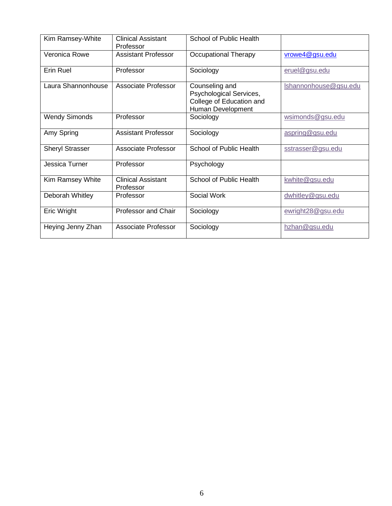| Kim Ramsey-White       | <b>Clinical Assistant</b><br>Professor | School of Public Health                                                                    |                       |
|------------------------|----------------------------------------|--------------------------------------------------------------------------------------------|-----------------------|
| Veronica Rowe          | <b>Assistant Professor</b>             | <b>Occupational Therapy</b>                                                                | vrowe4@gsu.edu        |
| <b>Erin Ruel</b>       | Professor                              | Sociology                                                                                  | eruel@gsu.edu         |
| Laura Shannonhouse     | <b>Associate Professor</b>             | Counseling and<br>Psychological Services,<br>College of Education and<br>Human Development | Ishannonhouse@gsu.edu |
| <b>Wendy Simonds</b>   | Professor                              | Sociology                                                                                  | wsimonds@gsu.edu      |
| Amy Spring             | <b>Assistant Professor</b>             | Sociology                                                                                  | aspring@gsu.edu       |
| <b>Sheryl Strasser</b> | Associate Professor                    | School of Public Health                                                                    | sstrasser@gsu.edu     |
| Jessica Turner         | Professor                              | Psychology                                                                                 |                       |
| Kim Ramsey White       | <b>Clinical Assistant</b><br>Professor | School of Public Health                                                                    | kwhite@gsu.edu        |
| Deborah Whitley        | Professor                              | Social Work                                                                                | dwhitley@gsu.edu      |
| Eric Wright            | Professor and Chair                    | Sociology                                                                                  | ewright28@gsu.edu     |
| Heying Jenny Zhan      | <b>Associate Professor</b>             | Sociology                                                                                  | hzhan@gsu.edu         |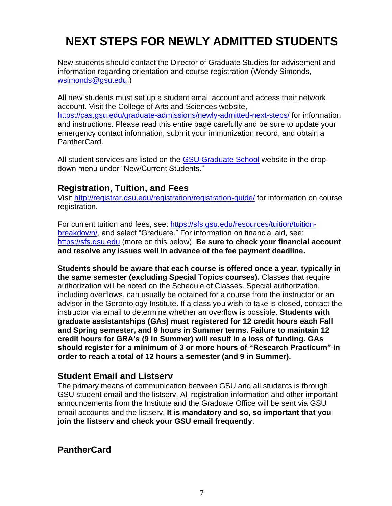# <span id="page-6-0"></span>**NEXT STEPS FOR NEWLY ADMITTED STUDENTS**

New students should contact the Director of Graduate Studies for advisement and information regarding orientation and course registration (Wendy Simonds, [wsimonds@gsu.edu.](mailto:wsimonds@gsu.edu))

All new students must set up a student email account and access their network account. Visit the College of Arts and Sciences website, <https://cas.gsu.edu/graduate-admissions/newly-admitted-next-steps/> for information and instructions. Please read this entire page carefully and be sure to update your emergency contact information, submit your immunization record, and obtain a PantherCard.

All student services are listed on the [GSU Graduate School](https://graduate.gsu.edu/current-students/) website in the dropdown menu under "New/Current Students."

#### **Registration, Tuition, and Fees**

Visit [http://registrar.gsu.edu/registration/registration-guide/](about:blank) for information on course registration.

For current tuition and fees, see: [https://sfs.gsu.edu/resources/tuition/tuition](https://sfs.gsu.edu/resources/tuition/tuition-breakdown/)[breakdown/,](https://sfs.gsu.edu/resources/tuition/tuition-breakdown/) and select "Graduate." For information on financial aid, see: [https://sfs.gsu.edu](https://sfs.gsu.edu/) (more on this below). **Be sure to check your financial account and resolve any issues well in advance of the fee payment deadline.** 

**Students should be aware that each course is offered once a year, typically in the same semester (excluding Special Topics courses).** Classes that require authorization will be noted on the Schedule of Classes. Special authorization, including overflows, can usually be obtained for a course from the instructor or an advisor in the Gerontology Institute. If a class you wish to take is closed, contact the instructor via email to determine whether an overflow is possible. **Students with graduate assistantships (GAs) must registered for 12 credit hours each Fall and Spring semester, and 9 hours in Summer terms. Failure to maintain 12 credit hours for GRA's (9 in Summer) will result in a loss of funding. GAs should register for a minimum of 3 or more hours of "Research Practicum" in order to reach a total of 12 hours a semester (and 9 in Summer).**

#### **Student Email and Listserv**

The primary means of communication between GSU and all students is through GSU student email and the listserv. All registration information and other important announcements from the Institute and the Graduate Office will be sent via GSU email accounts and the listserv. **It is mandatory and so, so important that you join the listserv and check your GSU email frequently**.

**PantherCard**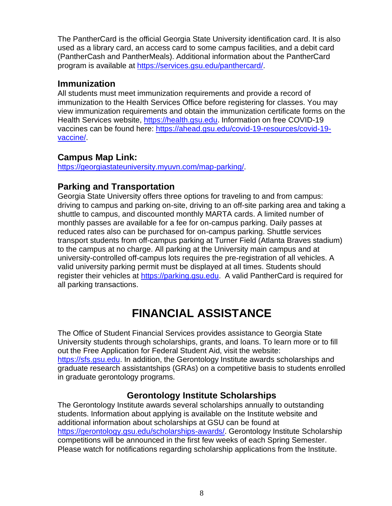The PantherCard is the official Georgia State University identification card. It is also used as a library card, an access card to some campus facilities, and a debit card (PantherCash and PantherMeals). Additional information about the PantherCard program is available at [https://services.gsu.edu/panthercard/.](https://services.gsu.edu/panthercard/)

#### **Immunization**

All students must meet immunization requirements and provide a record of immunization to the Health Services Office before registering for classes. You may view immunization requirements and obtain the immunization certificate forms on the Health Services website, [https://health.gsu.edu.](https://health.gsu.edu/) Information on free COVID-19 vaccines can be found here: [https://ahead.gsu.edu/covid-19-resources/covid-19](https://ahead.gsu.edu/covid-19-resources/covid-19-vaccine/) [vaccine/.](https://ahead.gsu.edu/covid-19-resources/covid-19-vaccine/)

# **Campus Map Link:**

[https://georgiastateuniversity.myuvn.com/map-parking/.](https://georgiastateuniversity.myuvn.com/map-parking/)

# **Parking and Transportation**

Georgia State University offers three options for traveling to and from campus: driving to campus and parking on-site, driving to an off-site parking area and taking a shuttle to campus, and discounted monthly MARTA cards. A limited number of monthly passes are available for a fee for on-campus parking. Daily passes at reduced rates also can be purchased for on-campus parking. Shuttle services transport students from off-campus parking at Turner Field (Atlanta Braves stadium) to the campus at no charge. All parking at the University main campus and at university-controlled off-campus lots requires the pre-registration of all vehicles. A valid university parking permit must be displayed at all times. Students should register their vehicles at [https://parking.gsu.edu.](https://parking.gsu.edu/) A valid PantherCard is required for all parking transactions.

# **FINANCIAL ASSISTANCE**

<span id="page-7-0"></span>The Office of Student Financial Services provides assistance to Georgia State University students through scholarships, grants, and loans. To learn more or to fill out the Free Application for Federal Student Aid, visit the website: [https://sfs.gsu.edu.](https://sfs.gsu.edu/) In addition, the Gerontology Institute awards scholarships and graduate research assistantships (GRAs) on a competitive basis to students enrolled in graduate gerontology programs.

### **Gerontology Institute Scholarships**

The Gerontology Institute awards several scholarships annually to outstanding students. Information about applying is available on the Institute website and additional information about scholarships at GSU can be found at [https://gerontology.gsu.edu/scholarships-awards/.](https://gerontology.gsu.edu/scholarships-awards/) Gerontology Institute Scholarship competitions will be announced in the first few weeks of each Spring Semester. Please watch for notifications regarding scholarship applications from the Institute.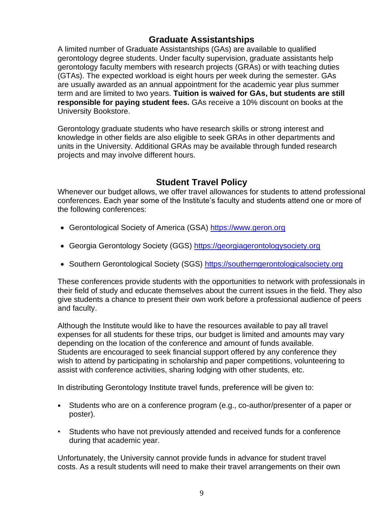# **Graduate Assistantships**

A limited number of Graduate Assistantships (GAs) are available to qualified gerontology degree students. Under faculty supervision, graduate assistants help gerontology faculty members with research projects (GRAs) or with teaching duties (GTAs). The expected workload is eight hours per week during the semester. GAs are usually awarded as an annual appointment for the academic year plus summer term and are limited to two years. **Tuition is waived for GAs, but students are still responsible for paying student fees.** GAs receive a 10% discount on books at the University Bookstore.

Gerontology graduate students who have research skills or strong interest and knowledge in other fields are also eligible to seek GRAs in other departments and units in the University. Additional GRAs may be available through funded research projects and may involve different hours.

### **Student Travel Policy**

Whenever our budget allows, we offer travel allowances for students to attend professional conferences. Each year some of the Institute's faculty and students attend one or more of the following conferences:

- Gerontological Society of America (GSA) [https://www.geron.org](https://www.geron.org/)
- Georgia Gerontology Society (GGS) [https://georgiagerontologysociety.org](https://georgiagerontologysociety.org/)
- Southern Gerontological Society (SGS) [https://southerngerontologicalsociety.org](https://southerngerontologicalsociety.org/)

These conferences provide students with the opportunities to network with professionals in their field of study and educate themselves about the current issues in the field. They also give students a chance to present their own work before a professional audience of peers and faculty.

Although the Institute would like to have the resources available to pay all travel expenses for all students for these trips, our budget is limited and amounts may vary depending on the location of the conference and amount of funds available. Students are encouraged to seek financial support offered by any conference they wish to attend by participating in scholarship and paper competitions, volunteering to assist with conference activities, sharing lodging with other students, etc.

In distributing Gerontology Institute travel funds, preference will be given to:

- Students who are on a conference program (e.g., co-author/presenter of a paper or poster).
- Students who have not previously attended and received funds for a conference during that academic year.

Unfortunately, the University cannot provide funds in advance for student travel costs. As a result students will need to make their travel arrangements on their own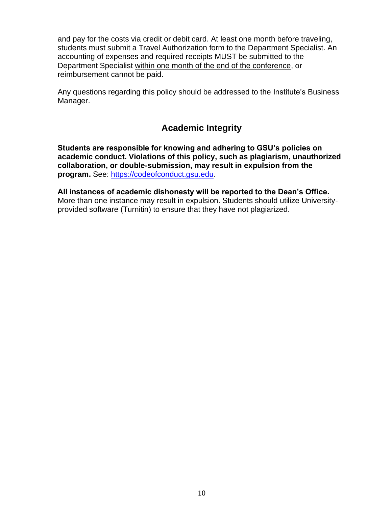and pay for the costs via credit or debit card. At least one month before traveling, students must submit a Travel Authorization form to the Department Specialist. An accounting of expenses and required receipts MUST be submitted to the Department Specialist within one month of the end of the conference, or reimbursement cannot be paid.

Any questions regarding this policy should be addressed to the Institute's Business Manager.

# **Academic Integrity**

<span id="page-9-0"></span>**Students are responsible for knowing and adhering to GSU's policies on academic conduct. Violations of this policy, such as plagiarism, unauthorized collaboration, or double-submission, may result in expulsion from the program.** See: [https://codeofconduct.gsu.edu.](about:blank)

**All instances of academic dishonesty will be reported to the Dean's Office.**  More than one instance may result in expulsion. Students should utilize Universityprovided software (Turnitin) to ensure that they have not plagiarized.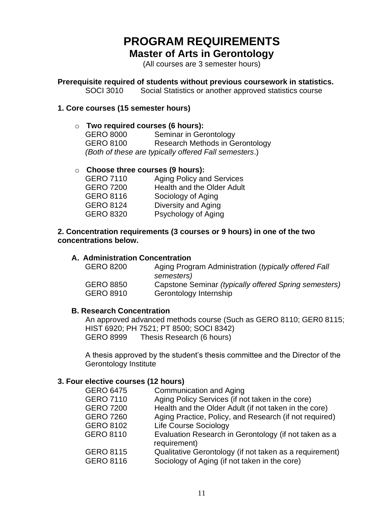# **PROGRAM REQUIREMENTS Master of Arts in Gerontology**

(All courses are 3 semester hours)

<span id="page-10-0"></span>**Prerequisite required of students without previous coursework in statistics.**

SOCI 3010 Social Statistics or another approved statistics course

#### **1. Core courses (15 semester hours)**

#### o **Two required courses (6 hours):**

GERO 8000 Seminar in Gerontology GERO 8100 Research Methods in Gerontology *(Both of these are typically offered Fall semesters*.)

#### o **Choose three courses (9 hours):**

| <b>Aging Policy and Services</b>  |
|-----------------------------------|
| <b>Health and the Older Adult</b> |
| Sociology of Aging                |
| Diversity and Aging               |
| Psychology of Aging               |
|                                   |

#### **2. Concentration requirements (3 courses or 9 hours) in one of the two concentrations below.**

#### **A. Administration Concentration**

| <b>GERO 8200</b> | Aging Program Administration (typically offered Fall<br>semesters) |
|------------------|--------------------------------------------------------------------|
| <b>GERO 8850</b> | Capstone Seminar (typically offered Spring semesters)              |
| <b>GERO 8910</b> | Gerontology Internship                                             |

#### **B. Research Concentration**

An approved advanced methods course (Such as GERO 8110; GER0 8115; HIST 6920; PH 7521; PT 8500; SOCI 8342) GERO 8999 Thesis Research (6 hours)

A thesis approved by the student's thesis committee and the Director of the Gerontology Institute

#### **3. Four elective courses (12 hours)**

| <b>GERO 6475</b> | Communication and Aging                                               |
|------------------|-----------------------------------------------------------------------|
| <b>GERO 7110</b> | Aging Policy Services (if not taken in the core)                      |
| <b>GERO 7200</b> | Health and the Older Adult (if not taken in the core)                 |
| <b>GERO 7260</b> | Aging Practice, Policy, and Research (if not required)                |
| <b>GERO 8102</b> | <b>Life Course Sociology</b>                                          |
| <b>GERO 8110</b> | Evaluation Research in Gerontology (if not taken as a<br>requirement) |
| <b>GERO 8115</b> | Qualitative Gerontology (if not taken as a requirement)               |
| <b>GERO 8116</b> | Sociology of Aging (if not taken in the core)                         |
|                  |                                                                       |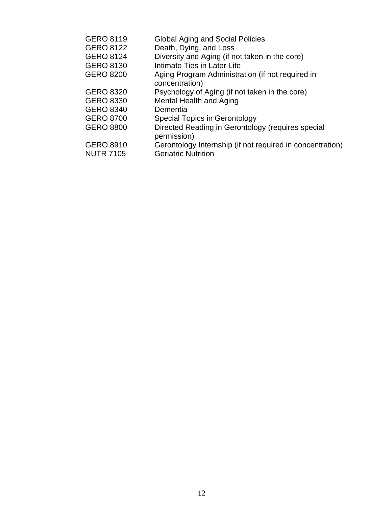| <b>GERO 8119</b> | <b>Global Aging and Social Policies</b>                   |
|------------------|-----------------------------------------------------------|
| <b>GERO 8122</b> | Death, Dying, and Loss                                    |
| <b>GERO 8124</b> | Diversity and Aging (if not taken in the core)            |
| <b>GERO 8130</b> | Intimate Ties in Later Life                               |
| <b>GERO 8200</b> | Aging Program Administration (if not required in          |
|                  | concentration)                                            |
| <b>GERO 8320</b> | Psychology of Aging (if not taken in the core)            |
| <b>GERO 8330</b> | Mental Health and Aging                                   |
| <b>GERO 8340</b> | Dementia                                                  |
| <b>GERO 8700</b> | <b>Special Topics in Gerontology</b>                      |
| <b>GERO 8800</b> | Directed Reading in Gerontology (requires special         |
|                  | permission)                                               |
| <b>GERO 8910</b> | Gerontology Internship (if not required in concentration) |
| <b>NUTR 7105</b> | <b>Geriatric Nutrition</b>                                |
|                  |                                                           |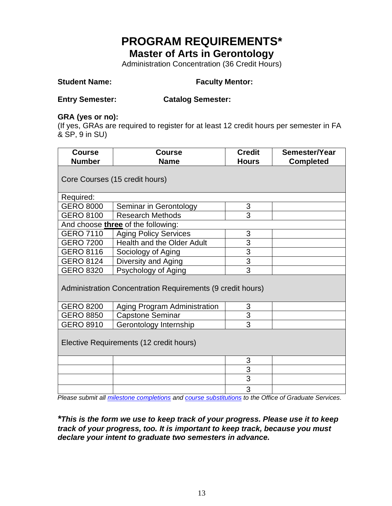# **PROGRAM REQUIREMENTS\* Master of Arts in Gerontology**

Administration Concentration (36 Credit Hours)

# **Student Name: Faculty Mentor:**

#### **Entry Semester: Catalog Semester:**

#### **GRA (yes or no):**

(If yes, GRAs are required to register for at least 12 credit hours per semester in FA & SP, 9 in SU)

| <b>Course</b><br><b>Number</b>                                     | <b>Course</b><br><b>Name</b>            | <b>Credit</b>  | Semester/Year |
|--------------------------------------------------------------------|-----------------------------------------|----------------|---------------|
| <b>Hours</b><br><b>Completed</b><br>Core Courses (15 credit hours) |                                         |                |               |
| Required:                                                          |                                         |                |               |
| <b>GERO 8000</b>                                                   | Seminar in Gerontology                  | 3              |               |
| <b>GERO 8100</b>                                                   | <b>Research Methods</b>                 | 3              |               |
|                                                                    | And choose three of the following:      |                |               |
| <b>GERO 7110</b>                                                   | <b>Aging Policy Services</b>            | 3              |               |
| <b>GERO 7200</b>                                                   | Health and the Older Adult              | $\overline{3}$ |               |
| <b>GERO 8116</b>                                                   | Sociology of Aging                      | 3              |               |
| <b>GERO 8124</b>                                                   | Diversity and Aging                     | $\overline{3}$ |               |
| <b>GERO 8320</b>                                                   | Psychology of Aging                     | $\overline{3}$ |               |
| Administration Concentration Requirements (9 credit hours)         |                                         |                |               |
| <b>GERO 8200</b>                                                   | <b>Aging Program Administration</b>     | 3              |               |
| <b>GERO 8850</b>                                                   | <b>Capstone Seminar</b>                 | 3              |               |
| <b>GERO 8910</b>                                                   | Gerontology Internship                  | $\overline{3}$ |               |
|                                                                    | Elective Requirements (12 credit hours) |                |               |
|                                                                    |                                         | 3              |               |
|                                                                    |                                         | 3              |               |
|                                                                    |                                         | 3              |               |
|                                                                    |                                         | 3              |               |

 *Please submit all [milestone completions](https://cas.gsu.edu/academics-admissions/required-milestones/) and [course substitutions](https://cas.gsu.edu/graduate-services/student-resources/) to the Office of Graduate Services.*

*\*This is the form we use to keep track of your progress. Please use it to keep track of your progress, too. It is important to keep track, because you must declare your intent to graduate two semesters in advance.*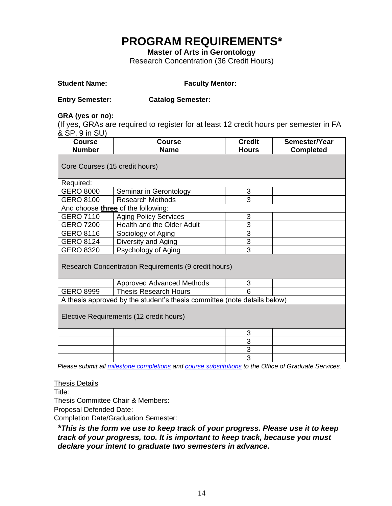# **PROGRAM REQUIREMENTS\***

**Master of Arts in Gerontology**

Research Concentration (36 Credit Hours)

**Student Name: Faculty Mentor:**

| <b>Entry Semester:</b>                               | <b>Catalog Semester:</b>                                                               |                |                  |  |
|------------------------------------------------------|----------------------------------------------------------------------------------------|----------------|------------------|--|
| GRA (yes or no):                                     |                                                                                        |                |                  |  |
|                                                      | (If yes, GRAs are required to register for at least 12 credit hours per semester in FA |                |                  |  |
| & SP, 9 in SU)                                       |                                                                                        |                |                  |  |
| <b>Course</b>                                        | <b>Course</b>                                                                          | <b>Credit</b>  | Semester/Year    |  |
| <b>Number</b>                                        | <b>Name</b>                                                                            | <b>Hours</b>   | <b>Completed</b> |  |
|                                                      | Core Courses (15 credit hours)                                                         |                |                  |  |
| Required:                                            |                                                                                        |                |                  |  |
| <b>GERO 8000</b>                                     | Seminar in Gerontology                                                                 | 3              |                  |  |
| <b>GERO 8100</b>                                     | <b>Research Methods</b>                                                                | $\overline{3}$ |                  |  |
|                                                      | And choose three of the following:                                                     |                |                  |  |
| <b>GERO 7110</b>                                     | <b>Aging Policy Services</b>                                                           | 3              |                  |  |
| <b>GERO 7200</b>                                     | Health and the Older Adult                                                             | $\overline{3}$ |                  |  |
| <b>GERO 8116</b>                                     | Sociology of Aging                                                                     | 3              |                  |  |
| <b>GERO 8124</b>                                     | Diversity and Aging                                                                    | $\overline{3}$ |                  |  |
| <b>GERO 8320</b>                                     | Psychology of Aging                                                                    | $\overline{3}$ |                  |  |
| Research Concentration Requirements (9 credit hours) |                                                                                        |                |                  |  |
|                                                      | <b>Approved Advanced Methods</b>                                                       | 3              |                  |  |
| <b>GERO 8999</b>                                     | <b>Thesis Research Hours</b>                                                           | 6              |                  |  |
|                                                      | A thesis approved by the student's thesis committee (note details below)               |                |                  |  |
| Elective Requirements (12 credit hours)              |                                                                                        |                |                  |  |
|                                                      |                                                                                        | 3              |                  |  |
|                                                      |                                                                                        | 3              |                  |  |
|                                                      |                                                                                        | 3              |                  |  |
|                                                      |                                                                                        | $\overline{3}$ |                  |  |

 *Please submit all [milestone completions](https://cas.gsu.edu/academics-admissions/required-milestones/) and [course substitutions](https://cas.gsu.edu/graduate-services/student-resources/) to the Office of Graduate Services.*

Thesis Details

Title:

Thesis Committee Chair & Members:

Proposal Defended Date:

Completion Date/Graduation Semester:

*\*This is the form we use to keep track of your progress. Please use it to keep track of your progress, too. It is important to keep track, because you must declare your intent to graduate two semesters in advance.*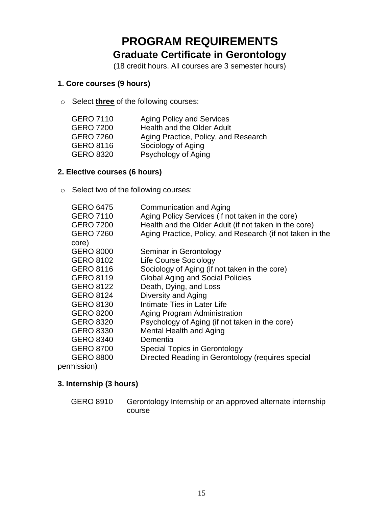# **PROGRAM REQUIREMENTS Graduate Certificate in Gerontology**

(18 credit hours. All courses are 3 semester hours)

#### <span id="page-14-0"></span>**1. Core courses (9 hours)**

o Select **three** of the following courses:

| <b>GERO 7110</b> | <b>Aging Policy and Services</b>     |
|------------------|--------------------------------------|
| <b>GERO 7200</b> | <b>Health and the Older Adult</b>    |
| <b>GERO 7260</b> | Aging Practice, Policy, and Research |
| <b>GERO 8116</b> | Sociology of Aging                   |
| <b>GERO 8320</b> | Psychology of Aging                  |

#### **2. Elective courses (6 hours)**

o Select two of the following courses:

| Communication and Aging                                   |
|-----------------------------------------------------------|
| Aging Policy Services (if not taken in the core)          |
| Health and the Older Adult (if not taken in the core)     |
| Aging Practice, Policy, and Research (if not taken in the |
|                                                           |
| Seminar in Gerontology                                    |
| <b>Life Course Sociology</b>                              |
| Sociology of Aging (if not taken in the core)             |
| <b>Global Aging and Social Policies</b>                   |
| Death, Dying, and Loss                                    |
| Diversity and Aging                                       |
| Intimate Ties in Later Life                               |
| Aging Program Administration                              |
| Psychology of Aging (if not taken in the core)            |
| Mental Health and Aging                                   |
| Dementia                                                  |
| Special Topics in Gerontology                             |
| Directed Reading in Gerontology (requires special         |
|                                                           |

permission)

#### **3. Internship (3 hours)**

GERO 8910 Gerontology Internship or an approved alternate internship course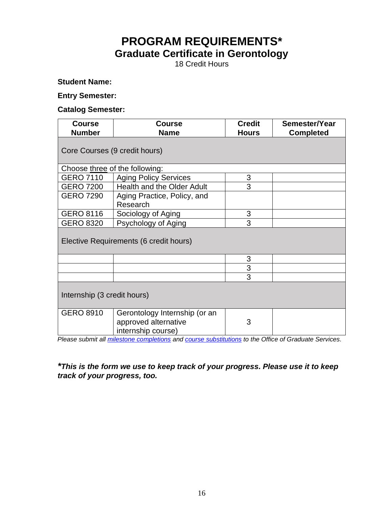# **PROGRAM REQUIREMENTS\* Graduate Certificate in Gerontology**

18 Credit Hours

**Student Name:**

#### **Entry Semester:**

#### **Catalog Semester:**

| <b>Course</b>                  | <b>Course</b>                          | <b>Credit</b> | Semester/Year    |
|--------------------------------|----------------------------------------|---------------|------------------|
| <b>Number</b>                  | <b>Name</b>                            | <b>Hours</b>  | <b>Completed</b> |
|                                |                                        |               |                  |
| Core Courses (9 credit hours)  |                                        |               |                  |
|                                |                                        |               |                  |
| Choose three of the following: |                                        |               |                  |
| <b>GERO 7110</b>               | <b>Aging Policy Services</b>           | 3             |                  |
| <b>GERO 7200</b>               | Health and the Older Adult             | 3             |                  |
| <b>GERO 7290</b>               | Aging Practice, Policy, and            |               |                  |
|                                | Research                               |               |                  |
| <b>GERO 8116</b>               | Sociology of Aging                     | 3             |                  |
| <b>GERO 8320</b>               | Psychology of Aging                    | 3             |                  |
|                                |                                        |               |                  |
|                                | Elective Requirements (6 credit hours) |               |                  |
|                                |                                        |               |                  |
|                                |                                        | 3             |                  |
|                                |                                        | 3             |                  |
|                                |                                        | 3             |                  |
|                                |                                        |               |                  |
| Internship (3 credit hours)    |                                        |               |                  |
| <b>GERO 8910</b>               | Gerontology Internship (or an          |               |                  |
|                                | approved alternative                   | 3             |                  |
|                                | internship course)                     |               |                  |

 *Please submit all [milestone completions](https://cas.gsu.edu/academics-admissions/required-milestones/) and [course substitutions](https://cas.gsu.edu/graduate-services/student-resources/) to the Office of Graduate Services.*

#### *\*This is the form we use to keep track of your progress. Please use it to keep track of your progress, too.*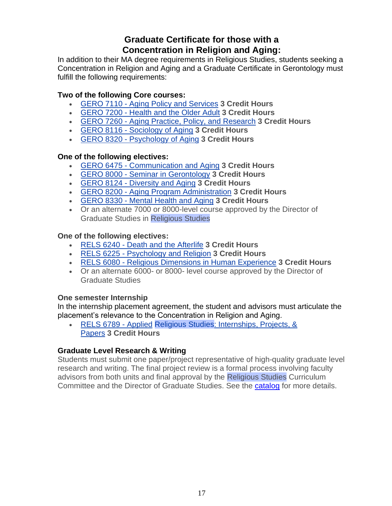# **Graduate Certificate for those with a Concentration in Religion and Aging:**

In addition to their MA degree requirements in Religious Studies, students seeking a Concentration in Religion and Aging and a Graduate Certificate in Gerontology must fulfill the following requirements:

#### **Two of the following Core courses:**

- GERO 7110 Aging Policy and [Services](https://catalogs.gsu.edu/preview_program.php?catoid=5&poid=1551&hl=%22religious+studies%22&returnto=search) **3 Credit Hours**
- [GERO](https://catalogs.gsu.edu/preview_program.php?catoid=5&poid=1551&hl=%22religious+studies%22&returnto=search) 7200 Health and the Older Adult **3 Credit Hours**
- GERO 7260 Aging Practice, Policy, and [Research](https://catalogs.gsu.edu/preview_program.php?catoid=5&poid=1551&hl=%22religious+studies%22&returnto=search) **3 Credit Hours**
- GERO 8116 [Sociology](https://catalogs.gsu.edu/preview_program.php?catoid=5&poid=1551&hl=%22religious+studies%22&returnto=search) of Aging **3 Credit Hours**
- GERO 8320 [Psychology](https://catalogs.gsu.edu/preview_program.php?catoid=5&poid=1551&hl=%22religious+studies%22&returnto=search) of Aging **3 Credit Hours**

#### **One of the following electives:**

- GERO 6475 [Communication](https://catalogs.gsu.edu/preview_program.php?catoid=5&poid=1551&hl=%22religious+studies%22&returnto=search) and Aging **3 Credit Hours**
- GERO 8000 Seminar in [Gerontology](https://catalogs.gsu.edu/preview_program.php?catoid=5&poid=1551&hl=%22religious+studies%22&returnto=search) **3 Credit Hours**
- GERO 8124 [Diversity](https://catalogs.gsu.edu/preview_program.php?catoid=5&poid=1551&hl=%22religious+studies%22&returnto=search) and Aging **3 Credit Hours**
- GERO 8200 Aging Program [Administration](https://catalogs.gsu.edu/preview_program.php?catoid=5&poid=1551&hl=%22religious+studies%22&returnto=search) **3 Credit Hours**
- GERO 8330 [Mental](https://catalogs.gsu.edu/preview_program.php?catoid=5&poid=1551&hl=%22religious+studies%22&returnto=search) Health and Aging **3 Credit Hours**
- Or an alternate 7000 or 8000-level course approved by the Director of Graduate Studies in Religious Studies

#### **One of the following electives:**

- RELS 6240 Death and the [Afterlife](https://catalogs.gsu.edu/preview_program.php?catoid=5&poid=1551&hl=%22religious+studies%22&returnto=search) **3 Credit Hours**
- RELS 6225 [Psychology](https://catalogs.gsu.edu/preview_program.php?catoid=5&poid=1551&hl=%22religious+studies%22&returnto=search) and Religion **3 Credit Hours**
- RELS 6080 Religious [Dimensions](https://catalogs.gsu.edu/preview_program.php?catoid=5&poid=1551&hl=%22religious+studies%22&returnto=search) in Human Experience **3 Credit Hours**
- Or an alternate 6000- or 8000- level course approved by the Director of Graduate Studies

#### **One semester Internship**

In the internship placement agreement, the student and advisors must articulate the placement's relevance to the Concentration in Religion and Aging.

• RELS 6789 - Applied Religious Studies: [Internships,](https://catalogs.gsu.edu/preview_program.php?catoid=5&poid=1551&hl=%22religious+studies%22&returnto=search) Projects, & [Papers](https://catalogs.gsu.edu/preview_program.php?catoid=5&poid=1551&hl=%22religious+studies%22&returnto=search) **3 Credit Hours**

#### **Graduate Level Research & Writing**

Students must submit one paper/project representative of high-quality graduate level research and writing. The final project review is a formal process involving faculty advisors from both units and final approval by the Religious Studies Curriculum Committee and the Director of Graduate Studies. See the [catalog](https://catalogs.gsu.edu/preview_program.php?catoid=5&poid=1551&hl=%22religious+studies%22&returnto=search) for more details.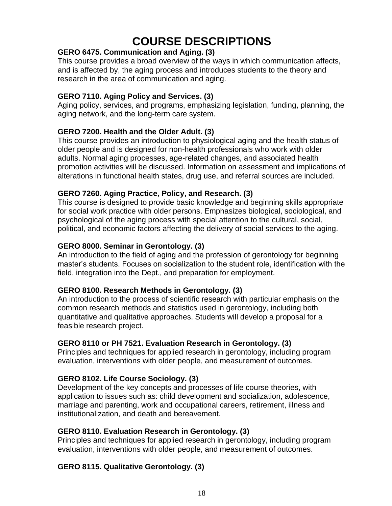# **COURSE DESCRIPTIONS**

#### <span id="page-17-0"></span>**GERO 6475. Communication and Aging. (3)**

This course provides a broad overview of the ways in which communication affects, and is affected by, the aging process and introduces students to the theory and research in the area of communication and aging.

#### **GERO 7110. Aging Policy and Services. (3)**

Aging policy, services, and programs, emphasizing legislation, funding, planning, the aging network, and the long-term care system.

#### **GERO 7200. Health and the Older Adult. (3)**

This course provides an introduction to physiological aging and the health status of older people and is designed for non-health professionals who work with older adults. Normal aging processes, age-related changes, and associated health promotion activities will be discussed. Information on assessment and implications of alterations in functional health states, drug use, and referral sources are included.

#### **GERO 7260. Aging Practice, Policy, and Research. (3)**

This course is designed to provide basic knowledge and beginning skills appropriate for social work practice with older persons. Emphasizes biological, sociological, and psychological of the aging process with special attention to the cultural, social, political, and economic factors affecting the delivery of social services to the aging.

#### **GERO 8000. Seminar in Gerontology. (3)**

An introduction to the field of aging and the profession of gerontology for beginning master's students. Focuses on socialization to the student role, identification with the field, integration into the Dept., and preparation for employment.

#### **GERO 8100. Research Methods in Gerontology. (3)**

An introduction to the process of scientific research with particular emphasis on the common research methods and statistics used in gerontology, including both quantitative and qualitative approaches. Students will develop a proposal for a feasible research project.

#### **GERO 8110 or PH 7521. Evaluation Research in Gerontology. (3)**

Principles and techniques for applied research in gerontology, including program evaluation, interventions with older people, and measurement of outcomes.

#### **GERO 8102. Life Course Sociology. (3)**

Development of the key concepts and processes of life course theories, with application to issues such as: child development and socialization, adolescence, marriage and parenting, work and occupational careers, retirement, illness and institutionalization, and death and bereavement.

#### **GERO 8110. Evaluation Research in Gerontology. (3)**

Principles and techniques for applied research in gerontology, including program evaluation, interventions with older people, and measurement of outcomes.

#### **GERO 8115. Qualitative Gerontology. (3)**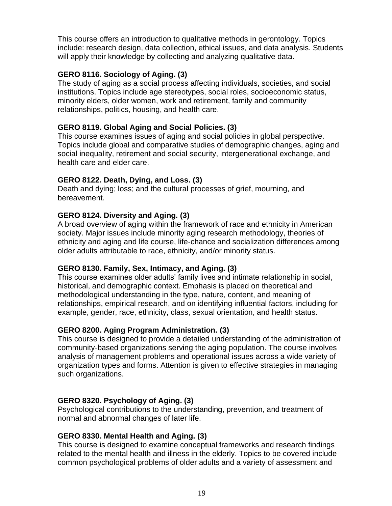This course offers an introduction to qualitative methods in gerontology. Topics include: research design, data collection, ethical issues, and data analysis. Students will apply their knowledge by collecting and analyzing qualitative data.

#### **GERO 8116. Sociology of Aging. (3)**

The study of aging as a social process affecting individuals, societies, and social institutions. Topics include age stereotypes, social roles, socioeconomic status, minority elders, older women, work and retirement, family and community relationships, politics, housing, and health care.

#### **GERO 8119. Global Aging and Social Policies. (3)**

This course examines issues of aging and social policies in global perspective. Topics include global and comparative studies of demographic changes, aging and social inequality, retirement and social security, intergenerational exchange, and health care and elder care.

#### **GERO 8122. Death, Dying, and Loss. (3)**

Death and dying; loss; and the cultural processes of grief, mourning, and bereavement.

#### **GERO 8124. Diversity and Aging. (3)**

A broad overview of aging within the framework of race and ethnicity in American society. Major issues include minority aging research methodology, theories of ethnicity and aging and life course, life-chance and socialization differences among older adults attributable to race, ethnicity, and/or minority status.

#### **GERO 8130. Family, Sex, Intimacy, and Aging. (3)**

This course examines older adults' family lives and intimate relationship in social, historical, and demographic context. Emphasis is placed on theoretical and methodological understanding in the type, nature, content, and meaning of relationships, empirical research, and on identifying influential factors, including for example, gender, race, ethnicity, class, sexual orientation, and health status.

#### **GERO 8200. Aging Program Administration. (3)**

This course is designed to provide a detailed understanding of the administration of community-based organizations serving the aging population. The course involves analysis of management problems and operational issues across a wide variety of organization types and forms. Attention is given to effective strategies in managing such organizations.

#### **GERO 8320. Psychology of Aging. (3)**

Psychological contributions to the understanding, prevention, and treatment of normal and abnormal changes of later life.

#### **GERO 8330. Mental Health and Aging. (3)**

This course is designed to examine conceptual frameworks and research findings related to the mental health and illness in the elderly. Topics to be covered include common psychological problems of older adults and a variety of assessment and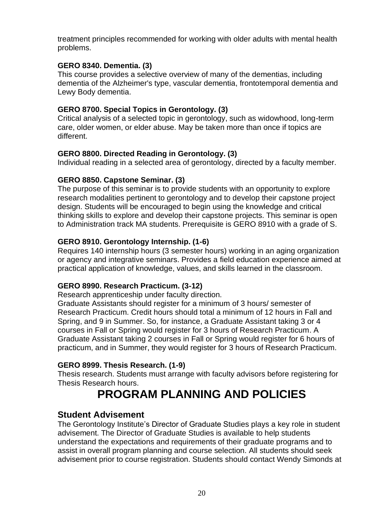treatment principles recommended for working with older adults with mental health problems.

#### **GERO 8340. Dementia. (3)**

This course provides a selective overview of many of the dementias, including dementia of the Alzheimer's type, vascular dementia, frontotemporal dementia and Lewy Body dementia.

#### **GERO 8700. Special Topics in Gerontology. (3)**

Critical analysis of a selected topic in gerontology, such as widowhood, long-term care, older women, or elder abuse. May be taken more than once if topics are different.

#### **GERO 8800. Directed Reading in Gerontology. (3)**

Individual reading in a selected area of gerontology, directed by a faculty member.

#### **GERO 8850. Capstone Seminar. (3)**

The purpose of this seminar is to provide students with an opportunity to explore research modalities pertinent to gerontology and to develop their capstone project design. Students will be encouraged to begin using the knowledge and critical thinking skills to explore and develop their capstone projects. This seminar is open to Administration track MA students. Prerequisite is GERO 8910 with a grade of S.

#### **GERO 8910. Gerontology Internship. (1-6)**

Requires 140 internship hours (3 semester hours) working in an aging organization or agency and integrative seminars. Provides a field education experience aimed at practical application of knowledge, values, and skills learned in the classroom.

#### **GERO 8990. Research Practicum. (3-12)**

Research apprenticeship under faculty direction.

Graduate Assistants should register for a minimum of 3 hours/ semester of Research Practicum. Credit hours should total a minimum of 12 hours in Fall and Spring, and 9 in Summer. So, for instance, a Graduate Assistant taking 3 or 4 courses in Fall or Spring would register for 3 hours of Research Practicum. A Graduate Assistant taking 2 courses in Fall or Spring would register for 6 hours of practicum, and in Summer, they would register for 3 hours of Research Practicum.

#### **GERO 8999. Thesis Research. (1-9)**

<span id="page-19-0"></span>Thesis research. Students must arrange with faculty advisors before registering for Thesis Research hours.

# **PROGRAM PLANNING AND POLICIES**

#### **Student Advisement**

The Gerontology Institute's Director of Graduate Studies plays a key role in student advisement. The Director of Graduate Studies is available to help students understand the expectations and requirements of their graduate programs and to assist in overall program planning and course selection. All students should seek advisement prior to course registration. Students should contact Wendy Simonds at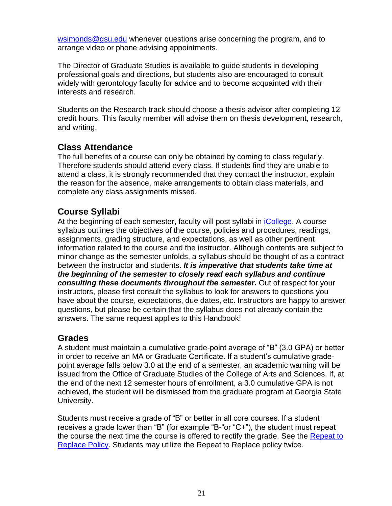[wsimonds@gsu.edu](about:blank) whenever questions arise concerning the program, and to arrange video or phone advising appointments.

The Director of Graduate Studies is available to guide students in developing professional goals and directions, but students also are encouraged to consult widely with gerontology faculty for advice and to become acquainted with their interests and research.

Students on the Research track should choose a thesis advisor after completing 12 credit hours. This faculty member will advise them on thesis development, research, and writing.

### **Class Attendance**

The full benefits of a course can only be obtained by coming to class regularly. Therefore students should attend every class. If students find they are unable to attend a class, it is strongly recommended that they contact the instructor, explain the reason for the absence, make arrangements to obtain class materials, and complete any class assignments missed.

### **Course Syllabi**

At the beginning of each semester, faculty will post syllabi in *iCollege*. A course syllabus outlines the objectives of the course, policies and procedures, readings, assignments, grading structure, and expectations, as well as other pertinent information related to the course and the instructor. Although contents are subject to minor change as the semester unfolds, a syllabus should be thought of as a contract between the instructor and students. *It is imperative that students take time at the beginning of the semester to closely read each syllabus and continue consulting these documents throughout the semester.* Out of respect for your instructors, please first consult the syllabus to look for answers to questions you have about the course, expectations, due dates, etc. Instructors are happy to answer questions, but please be certain that the syllabus does not already contain the answers. The same request applies to this Handbook!

#### **Grades**

A student must maintain a cumulative grade-point average of "B" (3.0 GPA) or better in order to receive an MA or Graduate Certificate. If a student's cumulative gradepoint average falls below 3.0 at the end of a semester, an academic warning will be issued from the Office of Graduate Studies of the College of Arts and Sciences. If, at the end of the next 12 semester hours of enrollment, a 3.0 cumulative GPA is not achieved, the student will be dismissed from the graduate program at Georgia State University.

Students must receive a grade of "B" or better in all core courses. If a student receives a grade lower than "B" (for example "B-"or "C+"), the student must repeat the course the next time the course is offered to rectify the grade. See the Repeat to [Replace Policy.](https://cas.gsu.edu/files/2021/03/Repeat-to-Replace-Policy-for-Graduate-Students.pdf) Students may utilize the Repeat to Replace policy twice.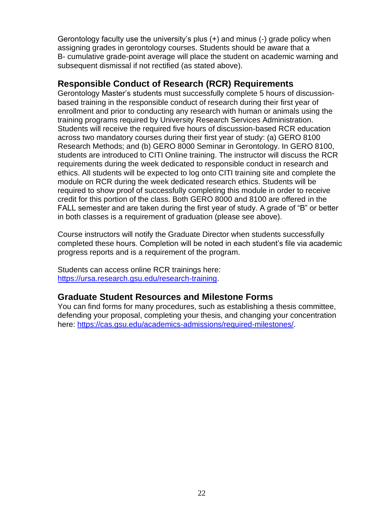Gerontology faculty use the university's plus (+) and minus (-) grade policy when assigning grades in gerontology courses. Students should be aware that a B- cumulative grade-point average will place the student on academic warning and subsequent dismissal if not rectified (as stated above).

#### <span id="page-21-0"></span>**Responsible Conduct of Research (RCR) Requirements**

Gerontology Master's students must successfully complete 5 hours of discussionbased training in the responsible conduct of research during their first year of enrollment and prior to conducting any research with human or animals using the training programs required by University Research Services Administration. Students will receive the required five hours of discussion-based RCR education across two mandatory courses during their first year of study: (a) GERO 8100 Research Methods; and (b) GERO 8000 Seminar in Gerontology. In GERO 8100, students are introduced to CITI Online training. The instructor will discuss the RCR requirements during the week dedicated to responsible conduct in research and ethics. All students will be expected to log onto CITI training site and complete the module on RCR during the week dedicated research ethics. Students will be required to show proof of successfully completing this module in order to receive credit for this portion of the class. Both GERO 8000 and 8100 are offered in the FALL semester and are taken during the first year of study. A grade of "B" or better in both classes is a requirement of graduation (please see above).

Course instructors will notify the Graduate Director when students successfully completed these hours. Completion will be noted in each student's file via academic progress reports and is a requirement of the program.

Students can access online RCR trainings here: [https://ursa.research.gsu.edu/research-training.](https://nam11.safelinks.protection.outlook.com/?url=https%3A%2F%2Fursa.research.gsu.edu%2Fresearch-training%2F%23rcr&data=04%7C01%7Cwsimonds%40gsu.edu%7C651da085289a47829dbb08d9536c7299%7C515ad73d8d5e4169895c9789dc742a70%7C0%7C0%7C637632547531082653%7CUnknown%7CTWFpbGZsb3d8eyJWIjoiMC4wLjAwMDAiLCJQIjoiV2luMzIiLCJBTiI6Ik1haWwiLCJXVCI6Mn0%3D%7C1000&sdata=7PUKT0jDj8qcZdTiKe5lz2Av2%2FwxMR05KJV6%2BHfFukg%3D&reserved=0)

#### <span id="page-21-1"></span>**Graduate Student Resources and Milestone Forms**

You can find forms for many procedures, such as establishing a thesis committee, defending your proposal, completing your thesis, and changing your concentration here: [https://cas.gsu.edu/academics-admissions/required-milestones/.](https://cas.gsu.edu/academics-admissions/required-milestones/)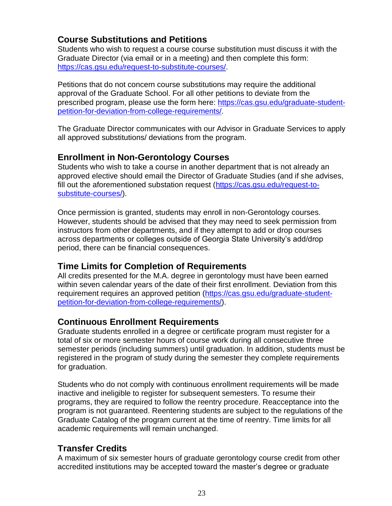# <span id="page-22-0"></span>**Course Substitutions and Petitions**

Students who wish to request a course course substitution must discuss it with the Graduate Director (via email or in a meeting) and then complete this form: [https://cas.gsu.edu/request-to-substitute-courses/.](https://cas.gsu.edu/request-to-substitute-courses/)

Petitions that do not concern course substitutions may require the additional approval of the Graduate School. For all other petitions to deviate from the prescribed program, please use the form here: [https://cas.gsu.edu/graduate-student](https://cas.gsu.edu/graduate-student-petition-for-deviation-from-college-requirements/)[petition-for-deviation-from-college-requirements/.](https://cas.gsu.edu/graduate-student-petition-for-deviation-from-college-requirements/)

The Graduate Director communicates with our Advisor in Graduate Services to apply all approved substitutions/ deviations from the program.

### **Enrollment in Non-Gerontology Courses**

Students who wish to take a course in another department that is not already an approved elective should email the Director of Graduate Studies (and if she advises, fill out the aforementioned substation request [\(https://cas.gsu.edu/request-to](https://cas.gsu.edu/request-to-substitute-courses/)[substitute-courses/\)](https://cas.gsu.edu/request-to-substitute-courses/).

Once permission is granted, students may enroll in non-Gerontology courses. However, students should be advised that they may need to seek permission from instructors from other departments, and if they attempt to add or drop courses across departments or colleges outside of Georgia State University's add/drop period, there can be financial consequences.

### **Time Limits for Completion of Requirements**

All credits presented for the M.A. degree in gerontology must have been earned within seven calendar years of the date of their first enrollment. Deviation from this requirement requires an approved petition [\(https://cas.gsu.edu/graduate-student](https://cas.gsu.edu/graduate-student-petition-for-deviation-from-college-requirements/)[petition-for-deviation-from-college-requirements/\)](https://cas.gsu.edu/graduate-student-petition-for-deviation-from-college-requirements/).

### <span id="page-22-1"></span>**Continuous Enrollment Requirements**

Graduate students enrolled in a degree or certificate program must register for a total of six or more semester hours of course work during all consecutive three semester periods (including summers) until graduation. In addition, students must be registered in the program of study during the semester they complete requirements for graduation.

Students who do not comply with continuous enrollment requirements will be made inactive and ineligible to register for subsequent semesters. To resume their programs, they are required to follow the reentry procedure. Reacceptance into the program is not guaranteed. Reentering students are subject to the regulations of the Graduate Catalog of the program current at the time of reentry. Time limits for all academic requirements will remain unchanged.

### **Transfer Credits**

A maximum of six semester hours of graduate gerontology course credit from other accredited institutions may be accepted toward the master's degree or graduate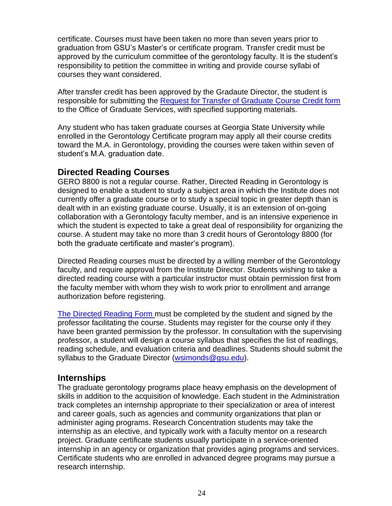certificate. Courses must have been taken no more than seven years prior to graduation from GSU's Master's or certificate program. Transfer credit must be approved by the curriculum committee of the gerontology faculty. It is the student's responsibility to petition the committee in writing and provide course syllabi of courses they want considered.

After transfer credit has been approved by the Gradaute Director, the student is responsible for submitting the [Request for Transfer of Graduate Course Credit form](https://cas.gsu.edu/request-to-transfer-credit/) to the Office of Graduate Services, with specified supporting materials.

Any student who has taken graduate courses at Georgia State University while enrolled in the Gerontology Certificate program may apply all their course credits toward the M.A. in Gerontology, providing the courses were taken within seven of student's M.A. graduation date.

### **Directed Reading Courses**

GERO 8800 is not a regular course. Rather, Directed Reading in Gerontology is designed to enable a student to study a subject area in which the Institute does not currently offer a graduate course or to study a special topic in greater depth than is dealt with in an existing graduate course. Usually, it is an extension of on-going collaboration with a Gerontology faculty member, and is an intensive experience in which the student is expected to take a great deal of responsibility for organizing the course. A student may take no more than 3 credit hours of Gerontology 8800 (for both the graduate certificate and master's program).

Directed Reading courses must be directed by a willing member of the Gerontology faculty, and require approval from the Institute Director. Students wishing to take a directed reading course with a particular instructor must obtain permission first from the faculty member with whom they wish to work prior to enrollment and arrange authorization before registering.

[The Directed Reading Form](https://gerontology.gsu.edu/document/directed-readings-4800-8800-application/?wpdmdl=4768&ind=1588074944258) must be completed by the student and signed by the professor facilitating the course. Students may register for the course only if they have been granted permission by the professor. In consultation with the supervising professor, a student will design a course syllabus that specifies the list of readings, reading schedule, and evaluation criteria and deadlines. Students should submit the syllabus to the Graduate Director [\(wsimonds@gsu.edu\)](mailto:wsimonds@gsu.edu).

#### <span id="page-23-0"></span>**Internships**

The graduate gerontology programs place heavy emphasis on the development of skills in addition to the acquisition of knowledge. Each student in the Administration track completes an internship appropriate to their specialization or area of interest and career goals, such as agencies and community organizations that plan or administer aging programs. Research Concentration students may take the internship as an elective, and typically work with a faculty mentor on a research project. Graduate certificate students usually participate in a service-oriented internship in an agency or organization that provides aging programs and services. Certificate students who are enrolled in advanced degree programs may pursue a research internship.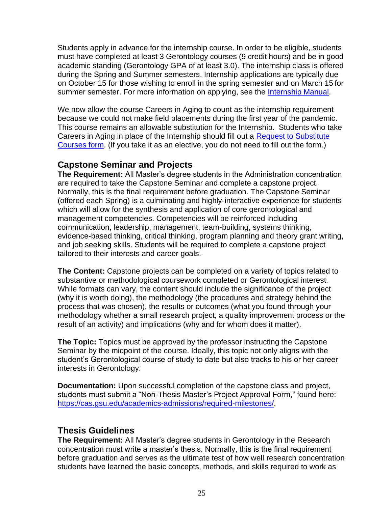Students apply in advance for the internship course. In order to be eligible, students must have completed at least 3 Gerontology courses (9 credit hours) and be in good academic standing (Gerontology GPA of at least 3.0). The internship class is offered during the Spring and Summer semesters. Internship applications are typically due on October 15 for those wishing to enroll in the spring semester and on March 15 for summer semester. For more information on applying, see the [Internship Manual.](https://gerontology.gsu.edu/document/gerontology-internship-manual/?wpdmdl=4761&ind=1588073064908)

We now allow the course Careers in Aging to count as the internship requirement because we could not make field placements during the first year of the pandemic. This course remains an allowable substitution for the Internship. Students who take Careers in Aging in place of the Internship should fill out a [Request to Substitute](https://cas.gsu.edu/request-to-substitute-courses/)  [Courses](https://cas.gsu.edu/request-to-substitute-courses/) form. (If you take it as an elective, you do not need to fill out the form.)

#### <span id="page-24-0"></span>**Capstone Seminar and Projects**

**The Requirement:** All Master's degree students in the Administration concentration are required to take the Capstone Seminar and complete a capstone project. Normally, this is the final requirement before graduation. The Capstone Seminar (offered each Spring) is a culminating and highly-interactive experience for students which will allow for the synthesis and application of core gerontological and management competencies. Competencies will be reinforced including communication, leadership, management, team-building, systems thinking, evidence-based thinking, critical thinking, program planning and theory grant writing, and job seeking skills. Students will be required to complete a capstone project tailored to their interests and career goals.

**The Content:** Capstone projects can be completed on a variety of topics related to substantive or methodological coursework completed or Gerontological interest. While formats can vary, the content should include the significance of the project (why it is worth doing), the methodology (the procedures and strategy behind the process that was chosen), the results or outcomes (what you found through your methodology whether a small research project, a quality improvement process or the result of an activity) and implications (why and for whom does it matter).

**The Topic:** Topics must be approved by the professor instructing the Capstone Seminar by the midpoint of the course. Ideally, this topic not only aligns with the student's Gerontological course of study to date but also tracks to his or her career interests in Gerontology.

**Documentation:** Upon successful completion of the capstone class and project, students must submit a "Non-Thesis Master's Project Approval Form," found here: [https://cas.gsu.edu/academics-admissions/required-milestones/.](https://cas.gsu.edu/academics-admissions/required-milestones/)

#### <span id="page-24-1"></span>**Thesis Guidelines**

**The Requirement:** All Master's degree students in Gerontology in the Research concentration must write a master's thesis. Normally, this is the final requirement before graduation and serves as the ultimate test of how well research concentration students have learned the basic concepts, methods, and skills required to work as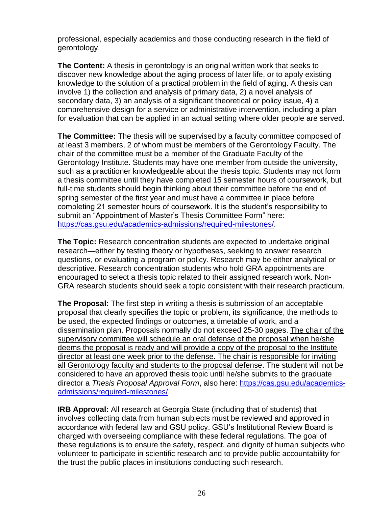professional, especially academics and those conducting research in the field of gerontology.

**The Content:** A thesis in gerontology is an original written work that seeks to discover new knowledge about the aging process of later life, or to apply existing knowledge to the solution of a practical problem in the field of aging. A thesis can involve 1) the collection and analysis of primary data, 2) a novel analysis of secondary data, 3) an analysis of a significant theoretical or policy issue, 4) a comprehensive design for a service or administrative intervention, including a plan for evaluation that can be applied in an actual setting where older people are served.

**The Committee:** The thesis will be supervised by a faculty committee composed of at least 3 members, 2 of whom must be members of the Gerontology Faculty. The chair of the committee must be a member of the Graduate Faculty of the Gerontology Institute. Students may have one member from outside the university, such as a practitioner knowledgeable about the thesis topic. Students may not form a thesis committee until they have completed 15 semester hours of coursework, but full-time students should begin thinking about their committee before the end of spring semester of the first year and must have a committee in place before completing 21 semester hours of coursework. It is the student's responsibility to submit an "Appointment of Master's Thesis Committee Form" here: [https://cas.gsu.edu/academics-admissions/required-milestones/.](https://cas.gsu.edu/academics-admissions/required-milestones/)

**The Topic:** Research concentration students are expected to undertake original research—either by testing theory or hypotheses, seeking to answer research questions, or evaluating a program or policy. Research may be either analytical or descriptive. Research concentration students who hold GRA appointments are encouraged to select a thesis topic related to their assigned research work. Non-GRA research students should seek a topic consistent with their research practicum.

**The Proposal:** The first step in writing a thesis is submission of an acceptable proposal that clearly specifies the topic or problem, its significance, the methods to be used, the expected findings or outcomes, a timetable of work, and a dissemination plan. Proposals normally do not exceed 25-30 pages. The chair of the supervisory committee will schedule an oral defense of the proposal when he/she deems the proposal is ready and will provide a copy of the proposal to the Institute director at least one week prior to the defense. The chair is responsible for inviting all Gerontology faculty and students to the proposal defense. The student will not be considered to have an approved thesis topic until he/she submits to the graduate director a *Thesis Proposal Approval Form*, also here: [https://cas.gsu.edu/academics](https://cas.gsu.edu/academics-admissions/required-milestones/)[admissions/required-milestones/.](https://cas.gsu.edu/academics-admissions/required-milestones/)

**IRB Approval:** All research at Georgia State (including that of students) that involves collecting data from human subjects must be reviewed and approved in accordance with federal law and GSU policy. GSU's Institutional Review Board is charged with overseeing compliance with these federal regulations. The goal of these regulations is to ensure the safety, respect, and dignity of human subjects who volunteer to participate in scientific research and to provide public accountability for the trust the public places in institutions conducting such research.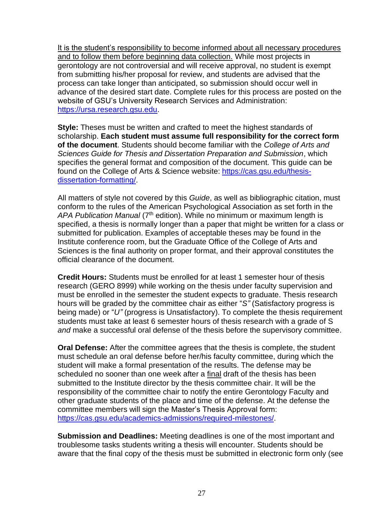It is the student's responsibility to become informed about all necessary procedures and to follow them before beginning data collection. While most projects in gerontology are not controversial and will receive approval, no student is exempt from submitting his/her proposal for review, and students are advised that the process can take longer than anticipated, so submission should occur well in advance of the desired start date. Complete rules for this process are posted on the website of GSU's University Research Services and Administration: [https://ursa.research.gsu.edu.](https://ursa.research.gsu.edu/)

**Style:** Theses must be written and crafted to meet the highest standards of scholarship. **Each student must assume full responsibility for the correct form of the document**. Students should become familiar with the *College of Arts and Sciences Guide for Thesis and Dissertation Preparation and Submission*, which specifies the general format and composition of the document. This guide can be found on the College of Arts & Science website: [https://cas.gsu.edu/thesis](https://cas.gsu.edu/thesis-dissertation-formatting/)[dissertation-formatting/.](https://cas.gsu.edu/thesis-dissertation-formatting/)

All matters of style not covered by this *Guide*, as well as bibliographic citation, must conform to the rules of the American Psychological Association as set forth in the APA Publication Manual (7<sup>th</sup> edition). While no minimum or maximum length is specified, a thesis is normally longer than a paper that might be written for a class or submitted for publication. Examples of acceptable theses may be found in the Institute conference room, but the Graduate Office of the College of Arts and Sciences is the final authority on proper format, and their approval constitutes the official clearance of the document.

**Credit Hours:** Students must be enrolled for at least 1 semester hour of thesis research (GERO 8999) while working on the thesis under faculty supervision and must be enrolled in the semester the student expects to graduate. Thesis research hours will be graded by the committee chair as either "*S"* (Satisfactory progress is being made) or "*U"* (progress is Unsatisfactory). To complete the thesis requirement students must take at least 6 semester hours of thesis research with a grade of S *and* make a successful oral defense of the thesis before the supervisory committee.

**Oral Defense:** After the committee agrees that the thesis is complete, the student must schedule an oral defense before her/his faculty committee, during which the student will make a formal presentation of the results. The defense may be scheduled no sooner than one week after a final draft of the thesis has been submitted to the Institute director by the thesis committee chair. It will be the responsibility of the committee chair to notify the entire Gerontology Faculty and other graduate students of the place and time of the defense. At the defense the committee members will sign the Master's Thesis Approval form: [https://cas.gsu.edu/academics-admissions/required-milestones/.](https://cas.gsu.edu/academics-admissions/required-milestones/)

**Submission and Deadlines:** Meeting deadlines is one of the most important and troublesome tasks students writing a thesis will encounter. Students should be aware that the final copy of the thesis must be submitted in electronic form only (see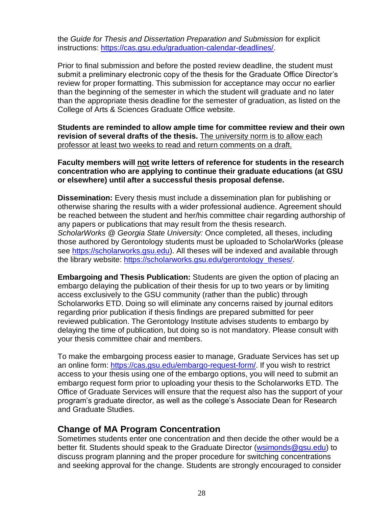the *Guide for Thesis and Dissertation Preparation and Submission* for explicit instructions: [https://cas.gsu.edu/graduation-calendar-deadlines/.](https://cas.gsu.edu/graduation-calendar-deadlines/)

Prior to final submission and before the posted review deadline, the student must submit a preliminary electronic copy of the thesis for the Graduate Office Director's review for proper formatting. This submission for acceptance may occur no earlier than the beginning of the semester in which the student will graduate and no later than the appropriate thesis deadline for the semester of graduation, as listed on the College of Arts & Sciences Graduate Office website.

**Students are reminded to allow ample time for committee review and their own revision of several drafts of the thesis.** The university norm is to allow each professor at least two weeks to read and return comments on a draft.

**Faculty members will not write letters of reference for students in the research concentration who are applying to continue their graduate educations (at GSU or elsewhere) until after a successful thesis proposal defense.**

**Dissemination:** Every thesis must include a dissemination plan for publishing or otherwise sharing the results with a wider professional audience. Agreement should be reached between the student and her/his committee chair regarding authorship of any papers or publications that may result from the thesis research. *ScholarWorks @ Georgia State University:* Once completed, all theses, including those authored by Gerontology students must be uploaded to ScholarWorks (please see [https://scholarworks.gsu.edu\)](https://scholarworks.gsu.edu/). All theses will be indexed and available through the library website: [https://scholarworks.gsu.edu/gerontology\\_theses/.](https://scholarworks.gsu.edu/gerontology_theses/)

**Embargoing and Thesis Publication:** Students are given the option of placing an embargo delaying the publication of their thesis for up to two years or by limiting access exclusively to the GSU community (rather than the public) through Scholarworks ETD. Doing so will eliminate any concerns raised by journal editors regarding prior publication if thesis findings are prepared submitted for peer reviewed publication. The Gerontology Institute advises students to embargo by delaying the time of publication, but doing so is not mandatory. Please consult with your thesis committee chair and members.

To make the embargoing process easier to manage, Graduate Services has set up an online form: [https://cas.gsu.edu/embargo-request-form/.](https://cas.gsu.edu/embargo-request-form/) If you wish to restrict access to your thesis using one of the embargo options, you will need to submit an embargo request form prior to uploading your thesis to the Scholarworks ETD. The Office of Graduate Services will ensure that the request also has the support of your program's graduate director, as well as the college's Associate Dean for Research and Graduate Studies.

#### **Change of MA Program Concentration**

Sometimes students enter one concentration and then decide the other would be a better fit. Students should speak to the Graduate Director [\(wsimonds@gsu.edu\)](about:blank) to discuss program planning and the proper procedure for switching concentrations and seeking approval for the change. Students are strongly encouraged to consider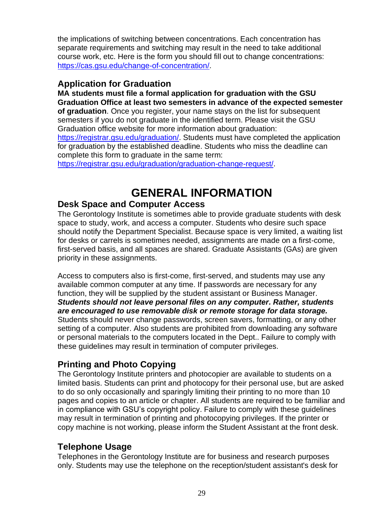the implications of switching between concentrations. Each concentration has separate requirements and switching may result in the need to take additional course work, etc. Here is the form you should fill out to change concentrations: [https://cas.gsu.edu/change-of-concentration/.](https://cas.gsu.edu/change-of-concentration/)

#### <span id="page-28-0"></span>**Application for Graduation**

**MA students must file a formal application for graduation with the GSU Graduation Office at least two semesters in advance of the expected semester of graduation**. Once you register, your name stays on the list for subsequent semesters if you do not graduate in the identified term. Please visit the GSU Graduation office website for more information about graduation: [https://registrar.gsu.edu/graduation/.](https://registrar.gsu.edu/graduation/) Students must have completed the application for graduation by the established deadline. Students who miss the deadline can complete this form to graduate in the same term:

[https://registrar.gsu.edu/graduation/graduation-change-request/.](https://registrar.gsu.edu/graduation/graduation-change-request/)

# **GENERAL INFORMATION**

#### <span id="page-28-1"></span>**Desk Space and Computer Access**

The Gerontology Institute is sometimes able to provide graduate students with desk space to study, work, and access a computer. Students who desire such space should notify the Department Specialist. Because space is very limited, a waiting list for desks or carrels is sometimes needed, assignments are made on a first-come, first-served basis, and all spaces are shared. Graduate Assistants (GAs) are given priority in these assignments.

Access to computers also is first-come, first-served, and students may use any available common computer at any time. If passwords are necessary for any function, they will be supplied by the student assistant or Business Manager. *Students should not leave personal files on any computer. Rather, students are encouraged to use removable disk or remote storage for data storage.* Students should never change passwords, screen savers, formatting, or any other setting of a computer. Also students are prohibited from downloading any software or personal materials to the computers located in the Dept.. Failure to comply with these guidelines may result in termination of computer privileges.

# **Printing and Photo Copying**

The Gerontology Institute printers and photocopier are available to students on a limited basis. Students can print and photocopy for their personal use, but are asked to do so only occasionally and sparingly limiting their printing to no more than 10 pages and copies to an article or chapter. All students are required to be familiar and in compliance with GSU's copyright policy. Failure to comply with these guidelines may result in termination of printing and photocopying privileges. If the printer or copy machine is not working, please inform the Student Assistant at the front desk.

### **Telephone Usage**

Telephones in the Gerontology Institute are for business and research purposes only. Students may use the telephone on the reception/student assistant's desk for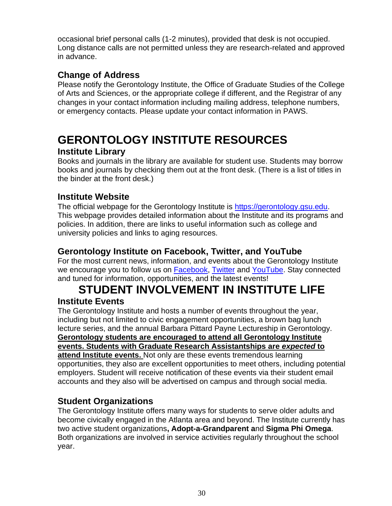occasional brief personal calls (1-2 minutes), provided that desk is not occupied. Long distance calls are not permitted unless they are research-related and approved in advance.

# **Change of Address**

Please notify the Gerontology Institute, the Office of Graduate Studies of the College of Arts and Sciences, or the appropriate college if different, and the Registrar of any changes in your contact information including mailing address, telephone numbers, or emergency contacts. Please update your contact information in PAWS.

# <span id="page-29-0"></span>**GERONTOLOGY INSTITUTE RESOURCES**

# **Institute Library**

Books and journals in the library are available for student use. Students may borrow books and journals by checking them out at the front desk. (There is a list of titles in the binder at the front desk.)

# **Institute Website**

The official webpage for the Gerontology Institute is [https://gerontology.gsu.edu.](https://gerontology.gsu.edu/) This webpage provides detailed information about the Institute and its programs and policies. In addition, there are links to useful information such as college and university policies and links to aging resources.

### **Gerontology Institute on Facebook, Twitter, and YouTube**

For the most current news, information, and events about the Gerontology Institute we encourage you to follow us on **Facebook**, [Twitter](https://twitter.com/gsugerontology?lang=en),) and [YouTube.](https://www.youtube.com/user/gerontologyGSU) Stay connected and tuned for information, opportunities, and the latest events!

# <span id="page-29-1"></span>**STUDENT INVOLVEMENT IN INSTITUTE LIFE Institute Events**

The Gerontology Institute and hosts a number of events throughout the year, including but not limited to civic engagement opportunities, a brown bag lunch lecture series, and the annual Barbara Pittard Payne Lectureship in Gerontology. **Gerontology students are encouraged to attend all Gerontology Institute events. Students with Graduate Research Assistantships are** *expected* **to attend Institute events.** Not only are these events tremendous learning opportunities, they also are excellent opportunities to meet others, including potential employers. Student will receive notification of these events via their student email accounts and they also will be advertised on campus and through social media.

# **Student Organizations**

The Gerontology Institute offers many ways for students to serve older adults and become civically engaged in the Atlanta area and beyond. The Institute currently has two active student organizations**, [Adopt-a-Grandparent](about:blank) a**nd **Sigma Phi Omega**. Both organizations are involved in service activities regularly throughout the school year.